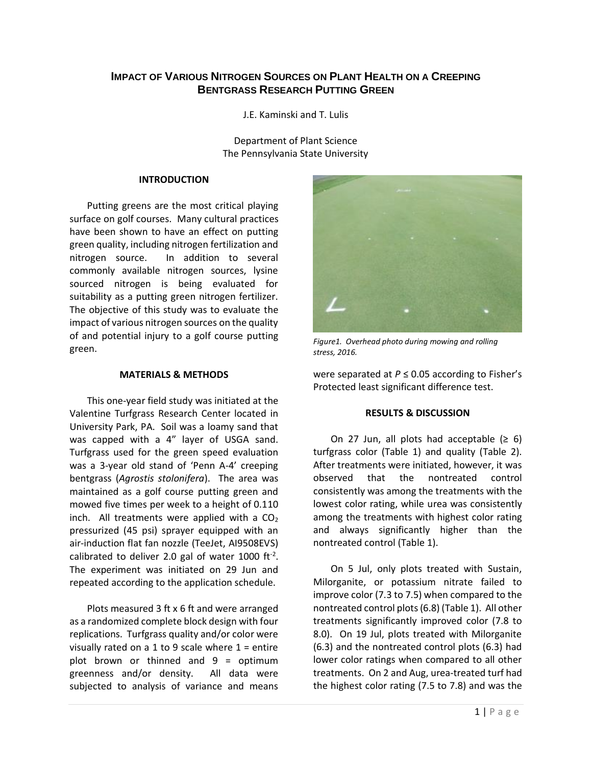# **IMPACT OF VARIOUS NITROGEN SOURCES ON PLANT HEALTH ON A CREEPING BENTGRASS RESEARCH PUTTING GREEN**

J.E. Kaminski and T. Lulis

Department of Plant Science The Pennsylvania State University

#### **INTRODUCTION**

Putting greens are the most critical playing surface on golf courses. Many cultural practices have been shown to have an effect on putting green quality, including nitrogen fertilization and nitrogen source. In addition to several commonly available nitrogen sources, lysine sourced nitrogen is being evaluated for suitability as a putting green nitrogen fertilizer. The objective of this study was to evaluate the impact of various nitrogen sources on the quality of and potential injury to a golf course putting green.

## **MATERIALS & METHODS**

This one-year field study was initiated at the Valentine Turfgrass Research Center located in University Park, PA. Soil was a loamy sand that was capped with a 4" layer of USGA sand. Turfgrass used for the green speed evaluation was a 3-year old stand of 'Penn A-4' creeping bentgrass (*Agrostis stolonifera*). The area was maintained as a golf course putting green and mowed five times per week to a height of 0.110 inch. All treatments were applied with a  $CO<sub>2</sub>$ pressurized (45 psi) sprayer equipped with an air-induction flat fan nozzle (TeeJet, AI9508EVS) calibrated to deliver 2.0 gal of water 1000 ft<sup>-2</sup>. The experiment was initiated on 29 Jun and repeated according to the application schedule.

Plots measured 3 ft x 6 ft and were arranged as a randomized complete block design with four replications. Turfgrass quality and/or color were visually rated on a 1 to 9 scale where  $1 =$  entire plot brown or thinned and 9 = optimum greenness and/or density. All data were subjected to analysis of variance and means



*Figure1. Overhead photo during mowing and rolling stress, 2016.*

were separated at *P* ≤ 0.05 according to Fisher's Protected least significant difference test.

## **RESULTS & DISCUSSION**

On 27 Jun, all plots had acceptable  $(≥ 6)$ turfgrass color (Table 1) and quality (Table 2). After treatments were initiated, however, it was observed that the nontreated control consistently was among the treatments with the lowest color rating, while urea was consistently among the treatments with highest color rating and always significantly higher than the nontreated control (Table 1).

On 5 Jul, only plots treated with Sustain, Milorganite, or potassium nitrate failed to improve color (7.3 to 7.5) when compared to the nontreated control plots (6.8) (Table 1). All other treatments significantly improved color (7.8 to 8.0). On 19 Jul, plots treated with Milorganite (6.3) and the nontreated control plots (6.3) had lower color ratings when compared to all other treatments. On 2 and Aug, urea-treated turf had the highest color rating (7.5 to 7.8) and was the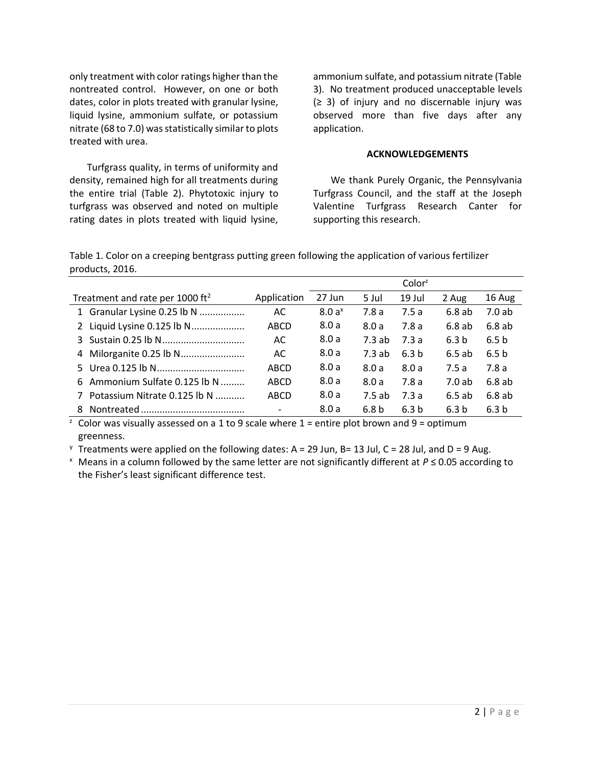only treatment with color ratings higher than the nontreated control. However, on one or both dates, color in plots treated with granular lysine, liquid lysine, ammonium sulfate, or potassium nitrate (68 to 7.0) was statistically similar to plots treated with urea.

Turfgrass quality, in terms of uniformity and density, remained high for all treatments during the entire trial (Table 2). Phytotoxic injury to turfgrass was observed and noted on multiple rating dates in plots treated with liquid lysine, ammonium sulfate, and potassium nitrate (Table 3). No treatment produced unacceptable levels  $(≥ 3)$  of injury and no discernable injury was observed more than five days after any application.

#### **ACKNOWLEDGEMENTS**

We thank Purely Organic, the Pennsylvania Turfgrass Council, and the staff at the Joseph Valentine Turfgrass Research Canter for supporting this research.

Table 1. Color on a creeping bentgrass putting green following the application of various fertilizer products, 2016.

|                                             |             | Color <sup>z</sup> |                  |                  |                  |                  |
|---------------------------------------------|-------------|--------------------|------------------|------------------|------------------|------------------|
| Treatment and rate per 1000 ft <sup>2</sup> | Application | 27 Jun             | 5 Jul            | 19 Jul           | 2 Aug            | 16 Aug           |
| 1 Granular Lysine 0.25 lb N                 | AC          | 8.0a <sup>x</sup>  | 7.8a             | 7.5a             | 6.8ab            | 7.0ab            |
| 2 Liquid Lysine 0.125 lb N                  | ABCD        | 8.0a               | 8.0a             | 7.8 a            | 6.8ab            | 6.8ab            |
|                                             | AC          | 8.0a               | 7.3ab            | 7.3a             | 6.3 <sub>b</sub> | 6.5 <sub>b</sub> |
| 4 Milorganite 0.25 lb N                     | AC          | 8.0a               | 7.3ab            | 6.3 <sub>b</sub> | 6.5ab            | 6.5 <sub>b</sub> |
|                                             | ABCD        | 8.0a               | 8.0a             | 8.0a             | 7.5a             | 7.8a             |
| 6 Ammonium Sulfate 0.125 lb N               | ABCD        | 8.0a               | 8.0a             | 7.8a             | 7.0 ab           | 6.8 ab           |
| Potassium Nitrate 0.125 lb N<br>7           | ABCD        | 8.0a               | 7.5ab            | 7.3a             | 6.5ab            | 6.8ab            |
|                                             |             | 8.0a               | 6.8 <sub>b</sub> | 6.3 <sub>b</sub> | 6.3 <sub>b</sub> | 6.3 <sub>b</sub> |

<sup>z</sup> Color was visually assessed on a 1 to 9 scale where  $1$  = entire plot brown and 9 = optimum greenness.

 $\frac{y}{x}$  Treatments were applied on the following dates: A = 29 Jun, B= 13 Jul, C = 28 Jul, and D = 9 Aug.

<sup>x</sup> Means in a column followed by the same letter are not significantly different at *P* ≤ 0.05 according to the Fisher's least significant difference test.